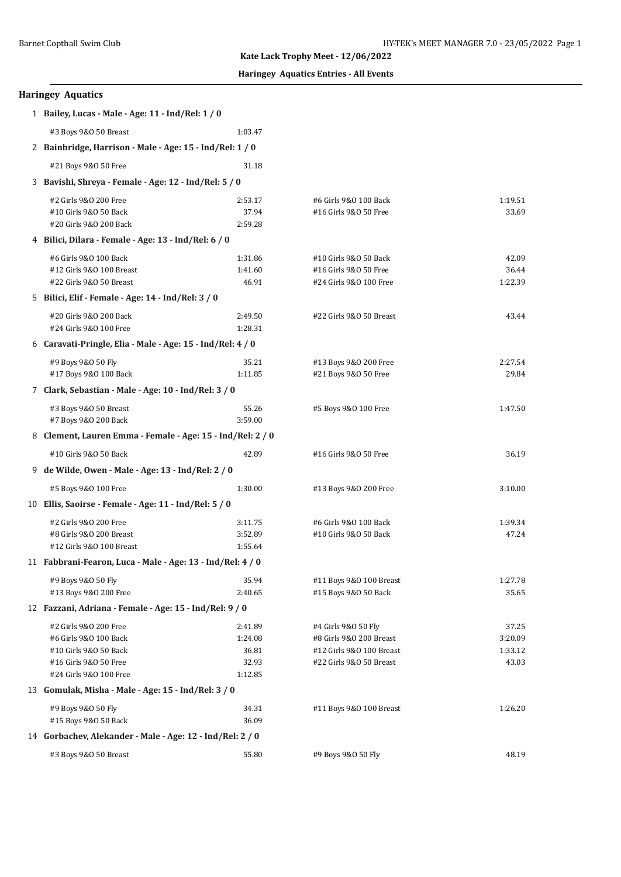# **Kate Lack Trophy Meet - 12/06/2022**

# **Haringey Aquatics Entries - All Events**

| <b>Haringey Aquatics</b> |  |
|--------------------------|--|
|--------------------------|--|

| 1 Bailey, Lucas - Male - Age: 11 - Ind/Rel: 1 / 0          |                  |                                                |                  |  |
|------------------------------------------------------------|------------------|------------------------------------------------|------------------|--|
| #3 Boys 9&0 50 Breast                                      | 1:03.47          |                                                |                  |  |
| 2 Bainbridge, Harrison - Male - Age: 15 - Ind/Rel: 1 / 0   |                  |                                                |                  |  |
| #21 Boys 9&0 50 Free                                       | 31.18            |                                                |                  |  |
| 3 Bavishi, Shreya - Female - Age: 12 - Ind/Rel: 5 / 0      |                  |                                                |                  |  |
|                                                            |                  |                                                |                  |  |
| #2 Girls 9&0 200 Free                                      | 2:53.17<br>37.94 | #6 Girls 9&0 100 Back<br>#16 Girls 9&0 50 Free | 1:19.51<br>33.69 |  |
| #10 Girls 9&0 50 Back<br>#20 Girls 9&0 200 Back            | 2:59.28          |                                                |                  |  |
| 4 Bilici, Dilara - Female - Age: 13 - Ind/Rel: 6 / 0       |                  |                                                |                  |  |
| #6 Girls 9&0 100 Back                                      | 1:31.86          | #10 Girls 9&0 50 Back                          | 42.09            |  |
| #12 Girls 9&0 100 Breast                                   | 1:41.60          | #16 Girls 9&0 50 Free                          | 36.44            |  |
| #22 Girls 9&0 50 Breast                                    | 46.91            | #24 Girls 9&0 100 Free                         | 1:22.39          |  |
| 5 Bilici, Elif - Female - Age: 14 - Ind/Rel: 3 / 0         |                  |                                                |                  |  |
| #20 Girls 9&0 200 Back                                     | 2:49.50          | #22 Girls 9&0 50 Breast                        | 43.44            |  |
| #24 Girls 9&0 100 Free                                     | 1:28.31          |                                                |                  |  |
| 6 Caravati-Pringle, Elia - Male - Age: 15 - Ind/Rel: 4 / 0 |                  |                                                |                  |  |
| #9 Boys 9&0 50 Fly                                         | 35.21            | #13 Boys 9&0 200 Free                          | 2:27.54          |  |
| #17 Boys 9&0 100 Back                                      | 1:11.85          | #21 Boys 9&0 50 Free                           | 29.84            |  |
| 7 Clark, Sebastian - Male - Age: 10 - Ind/Rel: 3 / 0       |                  |                                                |                  |  |
| #3 Boys 9&0 50 Breast                                      | 55.26            | #5 Boys 9&0 100 Free                           | 1:47.50          |  |
| #7 Boys 9&0 200 Back                                       | 3:59.00          |                                                |                  |  |
| 8 Clement, Lauren Emma - Female - Age: 15 - Ind/Rel: 2 / 0 |                  |                                                |                  |  |
| #10 Girls 9&0 50 Back                                      | 42.89            | #16 Girls 9&0 50 Free                          | 36.19            |  |
| 9 de Wilde, Owen - Male - Age: 13 - Ind/Rel: 2 / 0         |                  |                                                |                  |  |
| #5 Boys 9&0 100 Free                                       | 1:30.00          | #13 Boys 9&0 200 Free                          | 3:10.00          |  |
| 10 Ellis, Saoirse - Female - Age: 11 - Ind/Rel: 5 / 0      |                  |                                                |                  |  |
| #2 Girls 9&0 200 Free                                      | 3:11.75          | #6 Girls 9&0 100 Back                          | 1:39.34          |  |
| #8 Girls 9&0 200 Breast                                    | 3:52.89          | #10 Girls 9&0 50 Back                          | 47.24            |  |
| #12 Girls 9&0 100 Breast                                   | 1:55.64          |                                                |                  |  |
| 11 Fabbrani-Fearon, Luca - Male - Age: 13 - Ind/Rel: 4 / 0 |                  |                                                |                  |  |
| #9 Boys 9&0 50 Fly                                         | 35.94            | #11 Boys 9&0 100 Breast                        | 1:27.78          |  |
| #13 Boys 9&0 200 Free                                      | 2:40.65          | #15 Boys 9&0 50 Back                           | 35.65            |  |
| 12 Fazzani, Adriana - Female - Age: 15 - Ind/Rel: 9 / 0    |                  |                                                |                  |  |
| #2 Girls 9&0 200 Free                                      | 2:41.89          | #4 Girls 9&0 50 Fly                            | 37.25            |  |
| #6 Girls 9&0 100 Back                                      | 1:24.08          | #8 Girls 9&0 200 Breast                        | 3:20.09          |  |
| #10 Girls 9&0 50 Back                                      | 36.81            | #12 Girls 9&0 100 Breast                       | 1:33.12          |  |
| #16 Girls 9&0 50 Free<br>#24 Girls 9&0 100 Free            | 32.93<br>1:12.85 | #22 Girls 9&0 50 Breast                        | 43.03            |  |
| 13 Gomulak, Misha - Male - Age: 15 - Ind/Rel: 3 / 0        |                  |                                                |                  |  |
| #9 Boys 9&0 50 Fly                                         | 34.31            | #11 Boys 9&0 100 Breast                        | 1:26.20          |  |
| #15 Boys 9&0 50 Back                                       | 36.09            |                                                |                  |  |
| 14 Gorbachev, Alekander - Male - Age: 12 - Ind/Rel: 2 / 0  |                  |                                                |                  |  |
| #3 Boys 9&0 50 Breast                                      | 55.80            | #9 Boys 9&0 50 Fly                             | 48.19            |  |
|                                                            |                  |                                                |                  |  |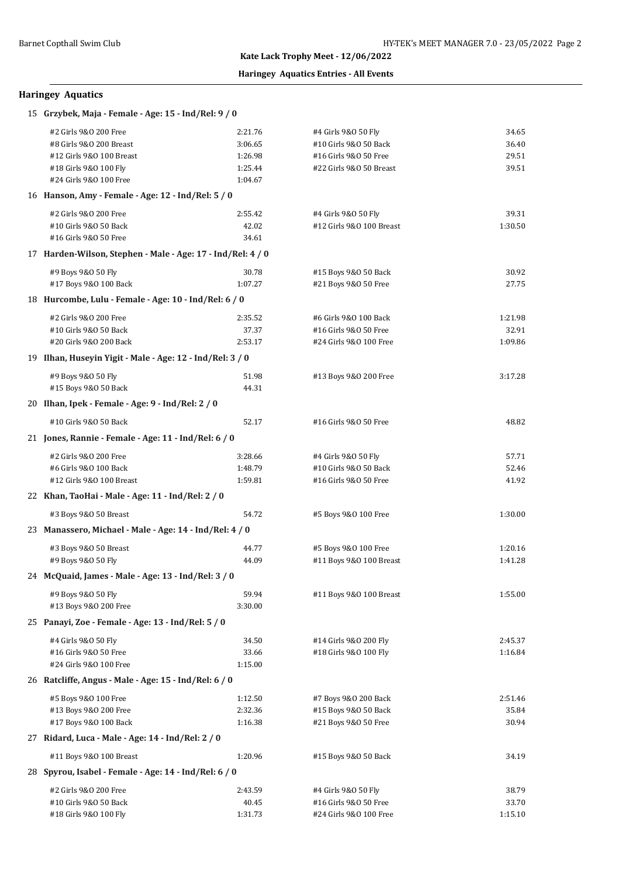# **Kate Lack Trophy Meet - 12/06/2022**

# **Haringey Aquatics Entries - All Events**

# **Haringey Aquatics**

| 15 Grzybek, Maja - Female - Age: 15 - Ind/Rel: 9 / 0      |                                                             |                          |                |  |  |
|-----------------------------------------------------------|-------------------------------------------------------------|--------------------------|----------------|--|--|
| #2 Girls 9&0 200 Free                                     | 2:21.76                                                     | #4 Girls 9&0 50 Fly      | 34.65          |  |  |
| #8 Girls 9&0 200 Breast                                   | 3:06.65                                                     | #10 Girls 9&0 50 Back    | 36.40          |  |  |
| #12 Girls 9&0 100 Breast                                  | 1:26.98                                                     | #16 Girls 9&0 50 Free    | 29.51          |  |  |
| #18 Girls 9&0 100 Fly                                     | 1:25.44                                                     | #22 Girls 9&0 50 Breast  | 39.51          |  |  |
| #24 Girls 9&0 100 Free                                    | 1:04.67                                                     |                          |                |  |  |
|                                                           | 16 Hanson, Amy - Female - Age: 12 - Ind/Rel: 5 / 0          |                          |                |  |  |
| #2 Girls 9&0 200 Free                                     | 2:55.42                                                     | #4 Girls 9&0 50 Fly      | 39.31          |  |  |
| #10 Girls 9&0 50 Back                                     | 42.02                                                       | #12 Girls 9&0 100 Breast | 1:30.50        |  |  |
| #16 Girls 9&0 50 Free                                     | 34.61                                                       |                          |                |  |  |
|                                                           | 17 Harden-Wilson, Stephen - Male - Age: 17 - Ind/Rel: 4 / 0 |                          |                |  |  |
| #9 Boys 9&0 50 Fly                                        | 30.78                                                       | #15 Boys 9&0 50 Back     | 30.92          |  |  |
| #17 Boys 9&0 100 Back                                     | 1:07.27                                                     | #21 Boys 9&0 50 Free     | 27.75          |  |  |
| 18 Hurcombe, Lulu - Female - Age: 10 - Ind/Rel: 6 / 0     |                                                             |                          |                |  |  |
| #2 Girls 9&0 200 Free                                     | 2:35.52                                                     | #6 Girls 9&0 100 Back    | 1:21.98        |  |  |
| #10 Girls 9&0 50 Back                                     | 37.37                                                       | #16 Girls 9&0 50 Free    | 32.91          |  |  |
| #20 Girls 9&0 200 Back                                    | 2:53.17                                                     | #24 Girls 9&0 100 Free   | 1:09.86        |  |  |
| 19 Ilhan, Huseyin Yigit - Male - Age: 12 - Ind/Rel: 3 / 0 |                                                             |                          |                |  |  |
| #9 Boys 9&0 50 Fly                                        | 51.98                                                       | #13 Boys 9&0 200 Free    | 3:17.28        |  |  |
| #15 Boys 9&0 50 Back                                      | 44.31                                                       |                          |                |  |  |
| 20 Ilhan, Ipek - Female - Age: 9 - Ind/Rel: 2 / 0         |                                                             |                          |                |  |  |
| #10 Girls 9&0 50 Back                                     | 52.17                                                       | #16 Girls 9&0 50 Free    | 48.82          |  |  |
| 21 Jones, Rannie - Female - Age: 11 - Ind/Rel: 6 / 0      |                                                             |                          |                |  |  |
|                                                           |                                                             |                          |                |  |  |
| #2 Girls 9&0 200 Free                                     | 3:28.66                                                     | #4 Girls 9&0 50 Fly      | 57.71          |  |  |
| #6 Girls 9&0 100 Back<br>#12 Girls 9&0 100 Breast         | 1:48.79                                                     | #10 Girls 9&0 50 Back    | 52.46<br>41.92 |  |  |
|                                                           | 1:59.81                                                     | #16 Girls 9&0 50 Free    |                |  |  |
| 22 Khan, TaoHai - Male - Age: 11 - Ind/Rel: 2 / 0         |                                                             |                          |                |  |  |
| #3 Boys 9&0 50 Breast                                     | 54.72                                                       | #5 Boys 9&0 100 Free     | 1:30.00        |  |  |
| 23 Manassero, Michael - Male - Age: 14 - Ind/Rel: 4 / 0   |                                                             |                          |                |  |  |
| #3 Boys 9&0 50 Breast                                     | 44.77                                                       | #5 Boys 9&0 100 Free     | 1:20.16        |  |  |
| #9 Boys 9&0 50 Fly                                        | 44.09                                                       | #11 Boys 9&0 100 Breast  | 1:41.28        |  |  |
| 24 McQuaid, James - Male - Age: 13 - Ind/Rel: 3 / 0       |                                                             |                          |                |  |  |
| #9 Boys 9&0 50 Fly                                        | 59.94                                                       | #11 Boys 9&0 100 Breast  | 1:55.00        |  |  |
| #13 Boys 9&0 200 Free                                     | 3:30.00                                                     |                          |                |  |  |
| 25 Panayi, Zoe - Female - Age: 13 - Ind/Rel: 5 / 0        |                                                             |                          |                |  |  |
| #4 Girls 9&0 50 Fly                                       | 34.50                                                       | #14 Girls 9&0 200 Fly    | 2:45.37        |  |  |
| #16 Girls 9&0 50 Free                                     | 33.66                                                       | #18 Girls 9&0 100 Fly    | 1:16.84        |  |  |
| #24 Girls 9&0 100 Free                                    | 1:15.00                                                     |                          |                |  |  |
| 26 Ratcliffe, Angus - Male - Age: 15 - Ind/Rel: 6 / 0     |                                                             |                          |                |  |  |
| #5 Boys 9&0 100 Free                                      | 1:12.50                                                     | #7 Boys 9&0 200 Back     | 2:51.46        |  |  |
| #13 Boys 9&0 200 Free                                     | 2:32.36                                                     | #15 Boys 9&0 50 Back     | 35.84          |  |  |
| #17 Boys 9&0 100 Back                                     | 1:16.38                                                     | #21 Boys 9&0 50 Free     | 30.94          |  |  |
| 27 Ridard, Luca - Male - Age: 14 - Ind/Rel: 2 / 0         |                                                             |                          |                |  |  |
| #11 Boys 9&0 100 Breast                                   | 1:20.96                                                     | #15 Boys 9&0 50 Back     | 34.19          |  |  |
| 28 Spyrou, Isabel - Female - Age: 14 - Ind/Rel: 6 / 0     |                                                             |                          |                |  |  |
| #2 Girls 9&0 200 Free                                     | 2:43.59                                                     | #4 Girls 9&0 50 Fly      | 38.79          |  |  |
| #10 Girls 9&0 50 Back                                     | 40.45                                                       | #16 Girls 9&0 50 Free    | 33.70          |  |  |
| #18 Girls 9&0 100 Fly                                     | 1:31.73                                                     | #24 Girls 9&0 100 Free   | 1:15.10        |  |  |